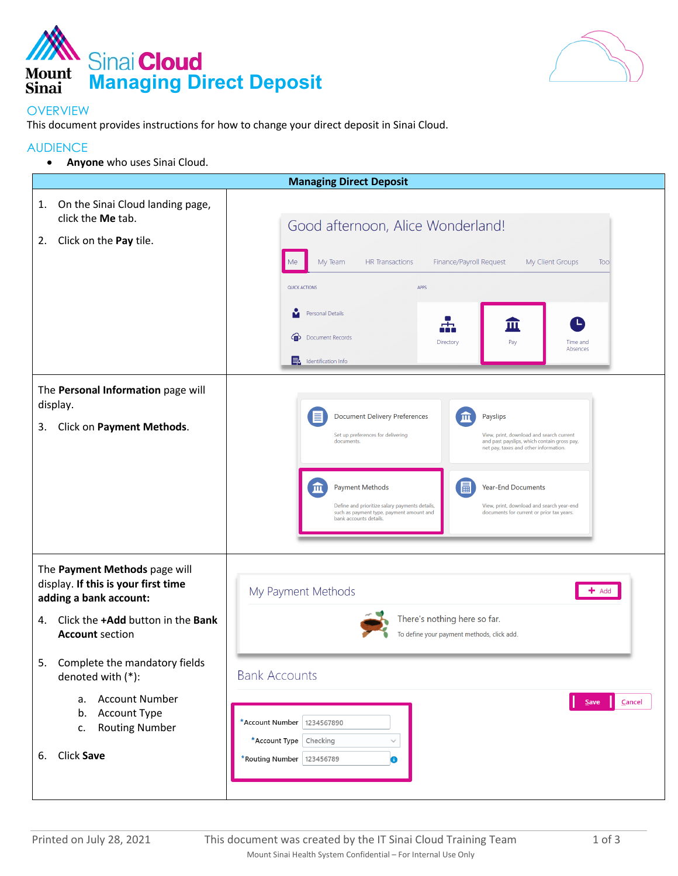



## **OVERVIEW**

This document provides instructions for how to change your direct deposit in Sinai Cloud.

## AUDIENCE

• **Anyone** who uses Sinai Cloud.

| <b>Managing Direct Deposit</b>                                                                                                                                          |                                                                                                                                                                                                                                                                                                                                                                                                                                                                                                                                 |  |  |  |
|-------------------------------------------------------------------------------------------------------------------------------------------------------------------------|---------------------------------------------------------------------------------------------------------------------------------------------------------------------------------------------------------------------------------------------------------------------------------------------------------------------------------------------------------------------------------------------------------------------------------------------------------------------------------------------------------------------------------|--|--|--|
| On the Sinai Cloud landing page,<br>1.<br>click the Me tab.<br>Click on the Pay tile.<br>2.                                                                             | Good afternoon, Alice Wonderland!<br>My Team<br><b>HR</b> Transactions<br>Finance/Payroll Request<br>My Client Groups<br>Tool<br>Me<br>QUICK ACTIONS<br>APPS<br>Personal Details<br>ш<br>⊶<br>的<br><b>Document Records</b><br>Directory<br>Pay<br>Time and<br>Absences<br><b>E</b> Identification Info                                                                                                                                                                                                                          |  |  |  |
| The Personal Information page will<br>display.<br>Click on Payment Methods.<br>3.                                                                                       | <b>Document Delivery Preferences</b><br>Payslips<br>ш<br>Set up preferences for delivering<br>View, print, download and search current<br>documents.<br>and past payslips, which contain gross pay,<br>net pay, taxes and other information.<br>圖<br>血<br><b>Year-End Documents</b><br><b>Payment Methods</b><br>Define and prioritize salary payments details,<br>View, print, download and search year-end<br>such as payment type, payment amount and<br>documents for current or prior tax years.<br>bank accounts details. |  |  |  |
| The Payment Methods page will<br>display. If this is your first time<br>adding a bank account:<br>Click the +Add button in the Bank<br>4.<br><b>Account section</b>     | My Payment Methods<br>$+$ Add<br>There's nothing here so far.<br>To define your payment methods, click add.                                                                                                                                                                                                                                                                                                                                                                                                                     |  |  |  |
| 5.<br>Complete the mandatory fields<br>denoted with (*):<br><b>Account Number</b><br>a.<br><b>Account Type</b><br>b.<br><b>Routing Number</b><br>c.<br>Click Save<br>6. | <b>Bank Accounts</b><br>Cancel<br>Ш<br>Save<br>*Account Number<br>1234567890<br>*Account Type Checking<br>$\checkmark$<br>*Routing Number   123456789<br>❸                                                                                                                                                                                                                                                                                                                                                                      |  |  |  |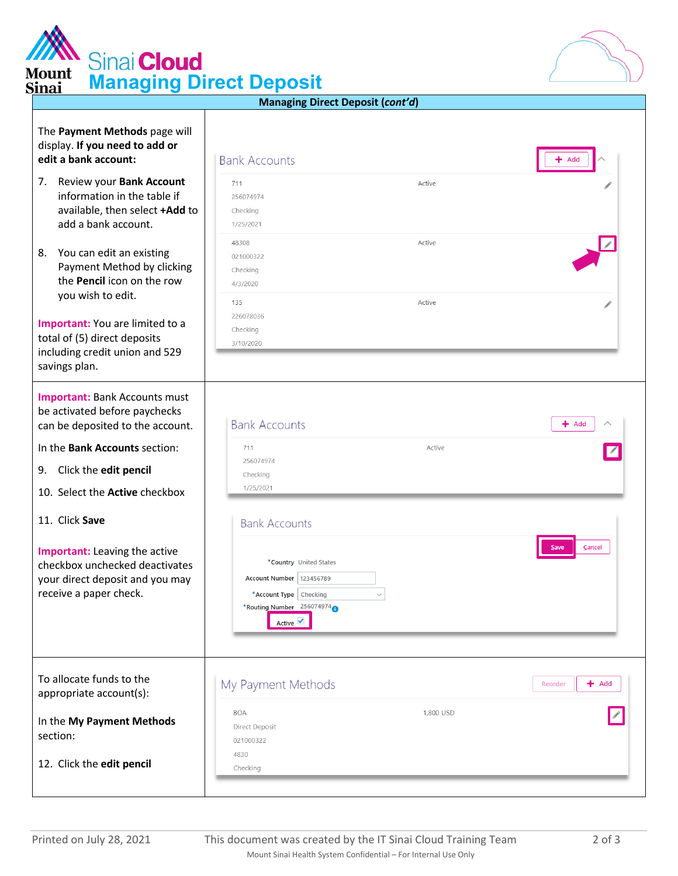| <b>MAN</b> Sinai Cloud<br><b>Mount</b><br><b>Managing Direct Deposit</b><br><b>Sinai</b>                                    |                                                                              |                  |                    |
|-----------------------------------------------------------------------------------------------------------------------------|------------------------------------------------------------------------------|------------------|--------------------|
|                                                                                                                             | <b>Managing Direct Deposit (cont'd)</b>                                      |                  |                    |
| The Payment Methods page will<br>display. If you need to add or<br>edit a bank account:                                     | <b>Bank Accounts</b>                                                         |                  | Add                |
| 7.<br>Review your Bank Account<br>information in the table if<br>available, then select +Add to<br>add a bank account.      | 711<br>256074974<br>Checking<br>1/25/2021                                    | Active           |                    |
| You can edit an existing<br>8.<br>Payment Method by clicking<br>the Pencil icon on the row<br>you wish to edit.             | 48308<br>021000322<br>Checking<br>4/3/2020<br>135<br>226078036               | Active<br>Active |                    |
| Important: You are limited to a<br>total of (5) direct deposits<br>including credit union and 529<br>savings plan.          | Checking<br>3/10/2020                                                        |                  |                    |
| <b>Important: Bank Accounts must</b><br>be activated before paychecks<br>can be deposited to the account.                   | <b>Bank Accounts</b>                                                         |                  | $+$ Add            |
| In the Bank Accounts section:<br>Click the edit pencil<br>9.<br>10. Select the <b>Active</b> checkbox                       | 711<br>256074974<br>Checking<br>1/25/2021                                    | Active           |                    |
| 11. Click Save<br><b>Important:</b> Leaving the active<br>checkbox unchecked deactivates<br>your direct deposit and you may | <b>Bank Accounts</b><br>*Country United States<br>Account Number   123456789 |                  | Cancel<br>Save     |
| receive a paper check.                                                                                                      | *Account Type Checking<br>*Routing Number 256074974<br>Active V              | $\checkmark$     |                    |
| To allocate funds to the<br>appropriate account(s):                                                                         | My Payment Methods                                                           |                  | $+$ Add<br>Reorder |
| In the My Payment Methods<br>section:                                                                                       | <b>BOA</b><br>Direct Deposit<br>021000322<br>4830                            | 1,800 USD        |                    |
| 12. Click the edit pencil                                                                                                   | Checking                                                                     |                  |                    |

**AN**